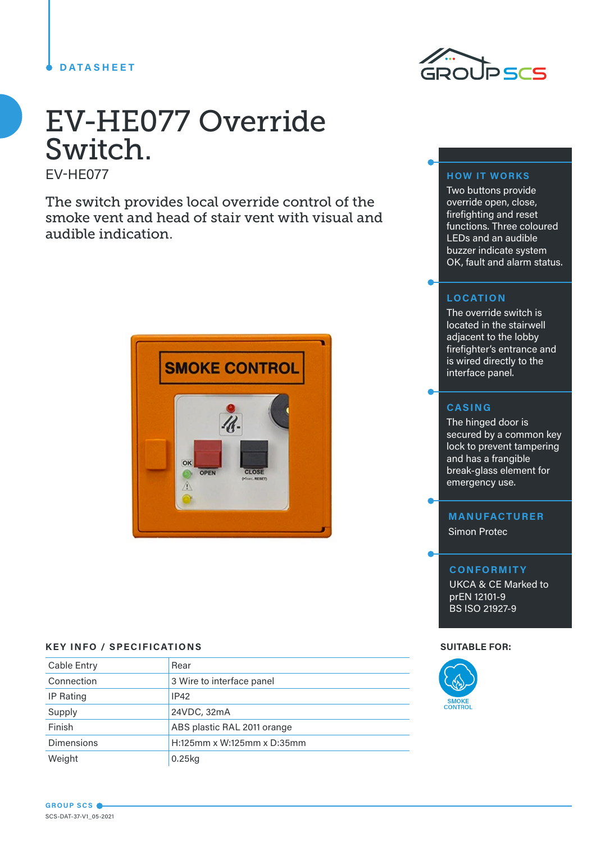# **DATASHEET**



# EV-HE077 Override Switch.

EV-HE077

The switch provides local override control of the smoke vent and head of stair vent with visual and audible indication.



# **KEY INFO / SPECIFICATIONS SUITABLE FOR:**

| Cable Entry       | Rear                        |  |
|-------------------|-----------------------------|--|
| Connection        | 3 Wire to interface panel   |  |
| IP Rating         | IP42                        |  |
| Supply            | 24VDC, 32mA                 |  |
| Finish            | ABS plastic RAL 2011 orange |  |
| <b>Dimensions</b> | H:125mm x W:125mm x D:35mm  |  |
| Weight            | $0.25$ <sub>kg</sub>        |  |

## **HOW IT WORKS**

Two buttons provide override open, close, firefighting and reset functions. Three coloured LEDs and an audible buzzer indicate system OK, fault and alarm status.

## **LOCATION**

The override switch is located in the stairwell adjacent to the lobby firefighter's entrance and is wired directly to the interface panel.

## **CASING**

The hinged door is secured by a common key lock to prevent tampering and has a frangible break-glass element for emergency use.

# **MANUFACTURER**

Simon Protec

#### **CONFORMITY**

UKCA & CE Marked to prEN 12101-9 .<br>BS ISO 21927-9